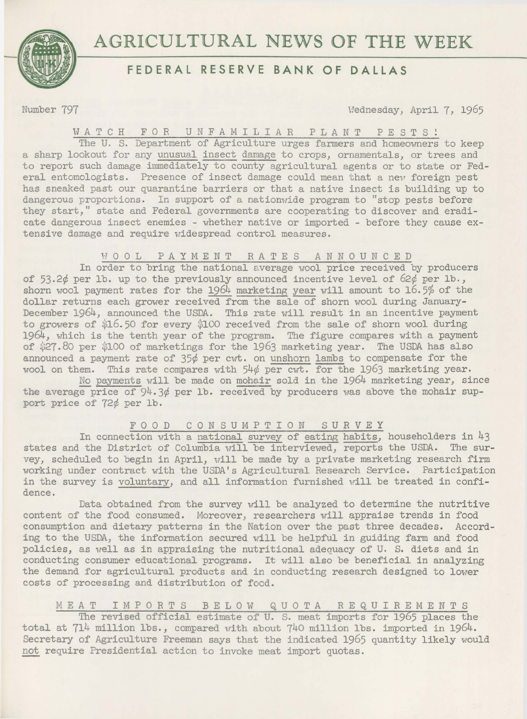

# **AGRICULTURAL** NEWS **OF THE** WEEK

# **FEDERAL RESERVE BANK OF DALLAS**

Number 797 **Wednesday, April 7, 1965** 

# WATCH F 0 R UNFAMILIAR PLANT PESTS!

The U. S. Department of Agriculture urges farmers and homeowners to keep a sharp lookout for any unusual insect damage to crops, ornamentals, or trees and to report such damage immediately to county agricultural agents or to state or Federal entomologists. Presence of insect damage could mean that a new foreign pest has sneaked past our quarantine barriers or that a native insect is building up to dangerous proportions. In support of a nationwide program to "stop pests before they start," state and Federal governments are cooperating to discover and eradicate dangerous insect enemies - whether native or imported - before they cause extensive damage and require widespread control measures.

# H 0 0 L PAYMENT RATES ANNOUNCED

In order to bring the national average wool price received by producers of 53.2¢ per lb. up to the previously announced incentive level of 62¢ per lb., shorn wool payment rates for the 1964 marketing year will amount to 16.5% of the dollar returns each grower received from the sale of shorn wool during January-December 1964, announced the USDA. This rate will result in an incentive payment to growers of \$16.50 for every \$100 received from the sale of shorn wool during 1964, which is the tenth year of the program. The figure compares with a payment of \$27.80 per \$100 of marketings for the 1963 marketing year. The USDA has also announced a payment rate of 35¢ per cwt. on unshorn lambs to compensate for the wool on them. This rate compares with 54¢ per cwt. for the 1963 marketing year.

No payments will be made on mohair sold in the 1964 marketing year, since the average price of  $94.3¢$  per lb. received by producers was above the mohair support price of 72¢ per lb.

# F 0 0 D CONSUMPTION SURVEY

In connection with a national survey of eating habits, householders in 43 states and the District of Columbia will be interviewed, reports the USDA. The survey, scheduled to begin in April, will be made by a private marketing research firm working under contract with the USDA's Agricultural Research Service. Participation in the survey is voluntary, and all information furnished will be treated in confidence.

Data obtained from the survey will be analyzed to determine the nutritive content of the food consumed. Moreover, researchers will appraise trends in food consumption and dietary patterns in the Nation over the past three decades. According to the USDA, the information secured will be helpful in guiding farm and food policies, as well as in appraising the nutritional adequacy of U. S. diets and in conducting consumer educational programs. It will also be beneficial in analyzing the demand for agricultural products and in conducting research designed to lower costs of processing and distribution of food.

# MEAT IMPORTS BELOW QUOTA REQUIREMENTS

The revised official estimate of U. S. meat imports for 1965 places the total at 714 million lbs., compared with about 740 million lbs. imported in 1964. Secretary of Agriculture Freeman says that the indicated 1965 quantity likely would not require Presidential action to invoke meat import quotas.